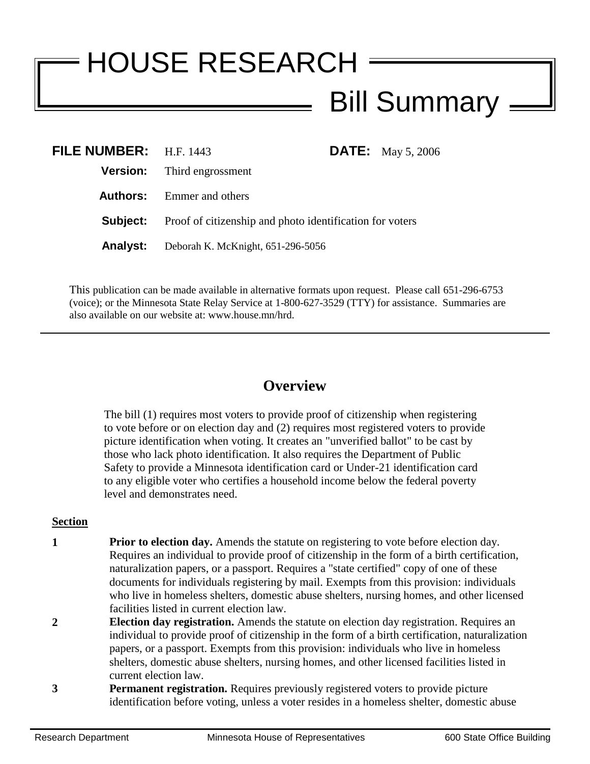## HOUSE RESEARCH Bill Summary

| FILE NUMBER: H.F. 1443 |                                                                          |  | <b>DATE:</b> May 5, 2006 |
|------------------------|--------------------------------------------------------------------------|--|--------------------------|
|                        | <b>Version:</b> Third engrossment                                        |  |                          |
|                        | <b>Authors:</b> Emmer and others                                         |  |                          |
|                        | <b>Subject:</b> Proof of citizenship and photo identification for voters |  |                          |
|                        | <b>Analyst:</b> Deborah K. McKnight, 651-296-5056                        |  |                          |

This publication can be made available in alternative formats upon request. Please call 651-296-6753 (voice); or the Minnesota State Relay Service at 1-800-627-3529 (TTY) for assistance. Summaries are also available on our website at: www.house.mn/hrd.

## **Overview**

The bill (1) requires most voters to provide proof of citizenship when registering to vote before or on election day and (2) requires most registered voters to provide picture identification when voting. It creates an "unverified ballot" to be cast by those who lack photo identification. It also requires the Department of Public Safety to provide a Minnesota identification card or Under-21 identification card to any eligible voter who certifies a household income below the federal poverty level and demonstrates need.

## **Section**

- **1 Prior to election day.** Amends the statute on registering to vote before election day. Requires an individual to provide proof of citizenship in the form of a birth certification, naturalization papers, or a passport. Requires a "state certified" copy of one of these documents for individuals registering by mail. Exempts from this provision: individuals who live in homeless shelters, domestic abuse shelters, nursing homes, and other licensed facilities listed in current election law.
- **2 Election day registration.** Amends the statute on election day registration. Requires an individual to provide proof of citizenship in the form of a birth certification, naturalization papers, or a passport. Exempts from this provision: individuals who live in homeless shelters, domestic abuse shelters, nursing homes, and other licensed facilities listed in current election law.
- **3 Permanent registration.** Requires previously registered voters to provide picture identification before voting, unless a voter resides in a homeless shelter, domestic abuse